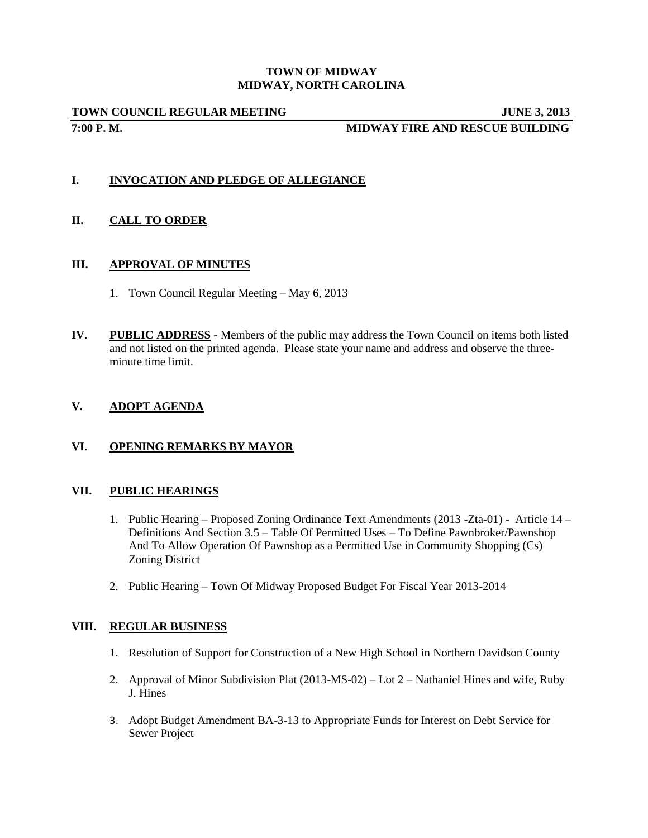#### **TOWN OF MIDWAY MIDWAY, NORTH CAROLINA**

**TOWN COUNCIL REGULAR MEETING JUNE 3, 2013 7:00 P. M. MIDWAY FIRE AND RESCUE BUILDING**

# **I. INVOCATION AND PLEDGE OF ALLEGIANCE**

## **II. CALL TO ORDER**

## **III. APPROVAL OF MINUTES**

- 1. Town Council Regular Meeting May 6, 2013
- **IV. PUBLIC ADDRESS -** Members of the public may address the Town Council on items both listed and not listed on the printed agenda. Please state your name and address and observe the threeminute time limit.

## **V. ADOPT AGENDA**

# **VI. OPENING REMARKS BY MAYOR**

### **VII. PUBLIC HEARINGS**

- 1. Public Hearing Proposed Zoning Ordinance Text Amendments (2013 -Zta-01) Article 14 Definitions And Section 3.5 – Table Of Permitted Uses – To Define Pawnbroker/Pawnshop And To Allow Operation Of Pawnshop as a Permitted Use in Community Shopping (Cs) Zoning District
- 2. Public Hearing Town Of Midway Proposed Budget For Fiscal Year 2013-2014

### **VIII. REGULAR BUSINESS**

- 1. Resolution of Support for Construction of a New High School in Northern Davidson County
- 2. Approval of Minor Subdivision Plat (2013-MS-02) Lot 2 Nathaniel Hines and wife, Ruby J. Hines
- 3. Adopt Budget Amendment BA-3-13 to Appropriate Funds for Interest on Debt Service for Sewer Project